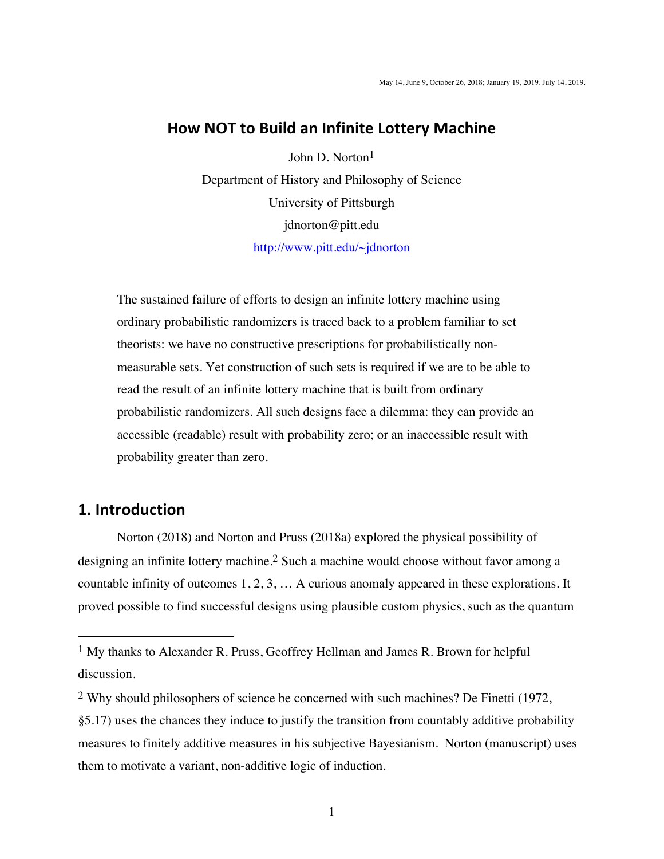# **How NOT to Build an Infinite Lottery Machine**

John D. Norton1 Department of History and Philosophy of Science University of Pittsburgh jdnorton@pitt.edu http://www.pitt.edu/~jdnorton

The sustained failure of efforts to design an infinite lottery machine using ordinary probabilistic randomizers is traced back to a problem familiar to set theorists: we have no constructive prescriptions for probabilistically nonmeasurable sets. Yet construction of such sets is required if we are to be able to read the result of an infinite lottery machine that is built from ordinary probabilistic randomizers. All such designs face a dilemma: they can provide an accessible (readable) result with probability zero; or an inaccessible result with probability greater than zero.

## **1. Introduction**

Norton (2018) and Norton and Pruss (2018a) explored the physical possibility of designing an infinite lottery machine.<sup>2</sup> Such a machine would choose without favor among a countable infinity of outcomes 1, 2, 3, … A curious anomaly appeared in these explorations. It proved possible to find successful designs using plausible custom physics, such as the quantum

 <sup>1</sup> My thanks to Alexander R. Pruss, Geoffrey Hellman and James R. Brown for helpful discussion.

 $2$  Why should philosophers of science be concerned with such machines? De Finetti (1972,

<sup>§5.17)</sup> uses the chances they induce to justify the transition from countably additive probability measures to finitely additive measures in his subjective Bayesianism. Norton (manuscript) uses them to motivate a variant, non-additive logic of induction.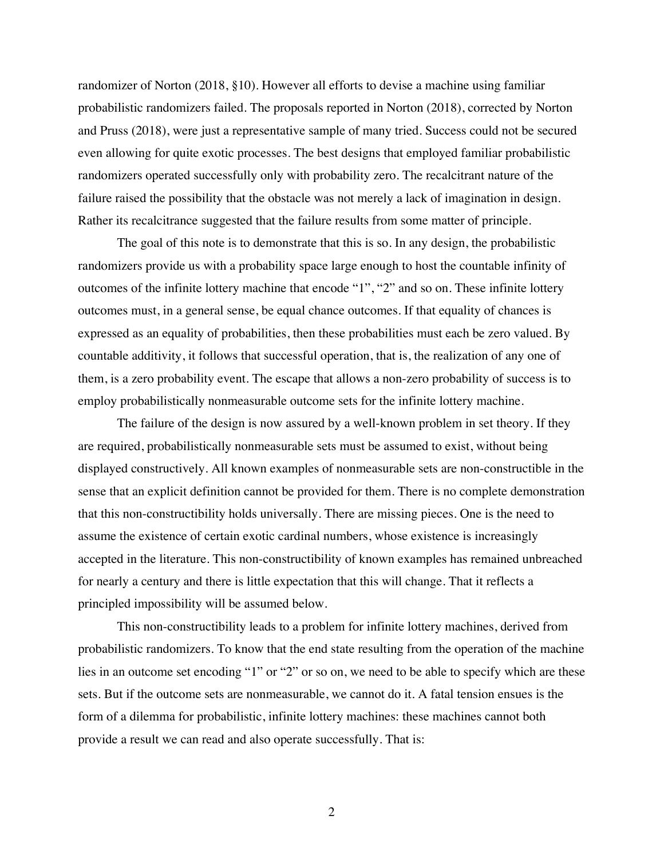randomizer of Norton (2018, §10). However all efforts to devise a machine using familiar probabilistic randomizers failed. The proposals reported in Norton (2018), corrected by Norton and Pruss (2018), were just a representative sample of many tried. Success could not be secured even allowing for quite exotic processes. The best designs that employed familiar probabilistic randomizers operated successfully only with probability zero. The recalcitrant nature of the failure raised the possibility that the obstacle was not merely a lack of imagination in design. Rather its recalcitrance suggested that the failure results from some matter of principle.

The goal of this note is to demonstrate that this is so. In any design, the probabilistic randomizers provide us with a probability space large enough to host the countable infinity of outcomes of the infinite lottery machine that encode "1", "2" and so on. These infinite lottery outcomes must, in a general sense, be equal chance outcomes. If that equality of chances is expressed as an equality of probabilities, then these probabilities must each be zero valued. By countable additivity, it follows that successful operation, that is, the realization of any one of them, is a zero probability event. The escape that allows a non-zero probability of success is to employ probabilistically nonmeasurable outcome sets for the infinite lottery machine.

The failure of the design is now assured by a well-known problem in set theory. If they are required, probabilistically nonmeasurable sets must be assumed to exist, without being displayed constructively. All known examples of nonmeasurable sets are non-constructible in the sense that an explicit definition cannot be provided for them. There is no complete demonstration that this non-constructibility holds universally. There are missing pieces. One is the need to assume the existence of certain exotic cardinal numbers, whose existence is increasingly accepted in the literature. This non-constructibility of known examples has remained unbreached for nearly a century and there is little expectation that this will change. That it reflects a principled impossibility will be assumed below.

This non-constructibility leads to a problem for infinite lottery machines, derived from probabilistic randomizers. To know that the end state resulting from the operation of the machine lies in an outcome set encoding "1" or "2" or so on, we need to be able to specify which are these sets. But if the outcome sets are nonmeasurable, we cannot do it. A fatal tension ensues is the form of a dilemma for probabilistic, infinite lottery machines: these machines cannot both provide a result we can read and also operate successfully. That is:

2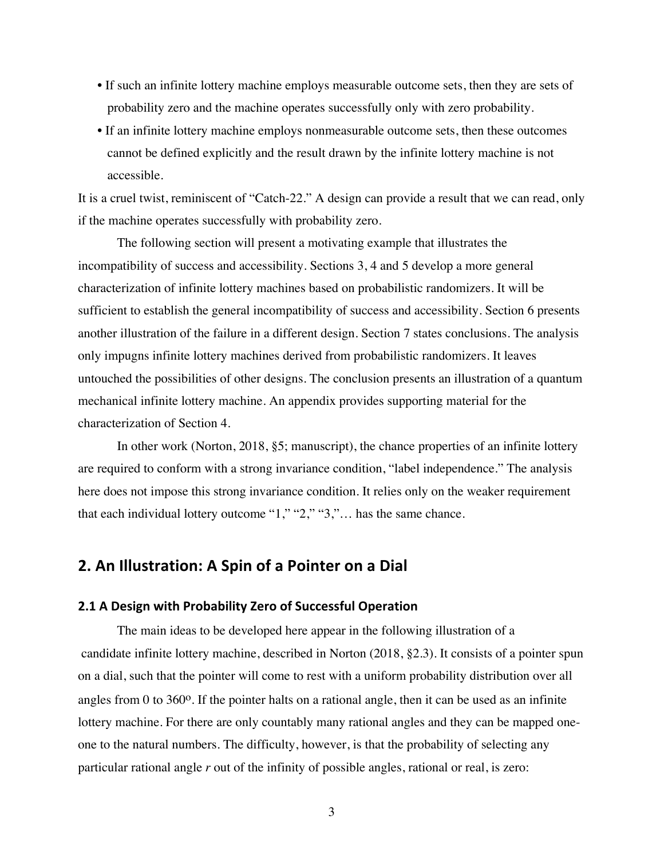- If such an infinite lottery machine employs measurable outcome sets, then they are sets of probability zero and the machine operates successfully only with zero probability.
- If an infinite lottery machine employs nonmeasurable outcome sets, then these outcomes cannot be defined explicitly and the result drawn by the infinite lottery machine is not accessible.

It is a cruel twist, reminiscent of "Catch-22." A design can provide a result that we can read, only if the machine operates successfully with probability zero.

The following section will present a motivating example that illustrates the incompatibility of success and accessibility. Sections 3, 4 and 5 develop a more general characterization of infinite lottery machines based on probabilistic randomizers. It will be sufficient to establish the general incompatibility of success and accessibility. Section 6 presents another illustration of the failure in a different design. Section 7 states conclusions. The analysis only impugns infinite lottery machines derived from probabilistic randomizers. It leaves untouched the possibilities of other designs. The conclusion presents an illustration of a quantum mechanical infinite lottery machine. An appendix provides supporting material for the characterization of Section 4.

In other work (Norton, 2018, §5; manuscript), the chance properties of an infinite lottery are required to conform with a strong invariance condition, "label independence." The analysis here does not impose this strong invariance condition. It relies only on the weaker requirement that each individual lottery outcome "1," "2," "3,"… has the same chance.

## **2. An Illustration: A Spin of a Pointer on a Dial**

#### **2.1 A Design with Probability Zero of Successful Operation**

The main ideas to be developed here appear in the following illustration of a candidate infinite lottery machine, described in Norton (2018, §2.3). It consists of a pointer spun on a dial, such that the pointer will come to rest with a uniform probability distribution over all angles from 0 to  $360^\circ$ . If the pointer halts on a rational angle, then it can be used as an infinite lottery machine. For there are only countably many rational angles and they can be mapped oneone to the natural numbers. The difficulty, however, is that the probability of selecting any particular rational angle *r* out of the infinity of possible angles, rational or real, is zero: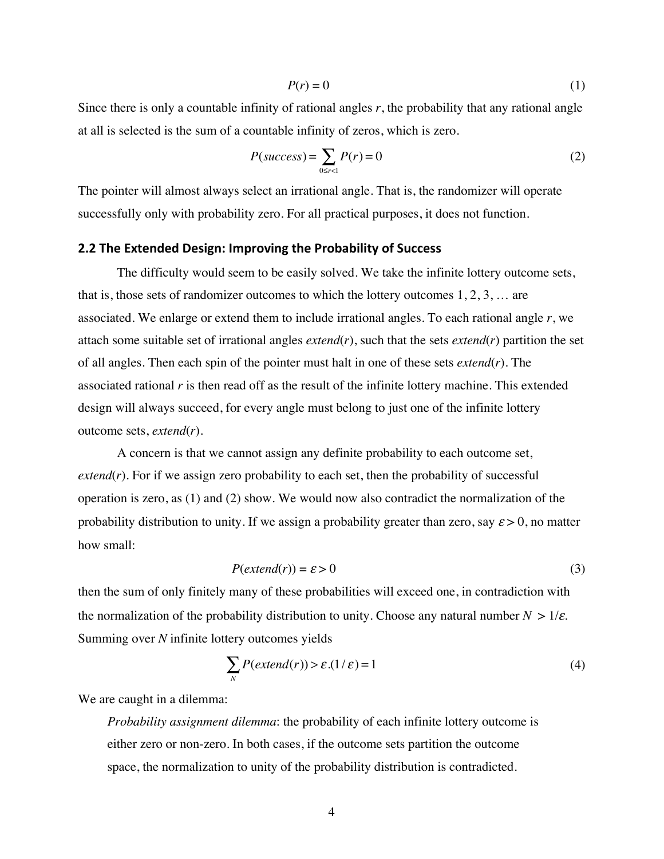$$
P(r) = 0 \tag{1}
$$

Since there is only a countable infinity of rational angles *r*, the probability that any rational angle at all is selected is the sum of a countable infinity of zeros, which is zero.

$$
P(success) = \sum_{0 \le r < 1} P(r) = 0\tag{2}
$$

The pointer will almost always select an irrational angle. That is, the randomizer will operate successfully only with probability zero. For all practical purposes, it does not function.

#### **2.2** The Extended Design: Improving the Probability of Success

The difficulty would seem to be easily solved. We take the infinite lottery outcome sets, that is, those sets of randomizer outcomes to which the lottery outcomes 1, 2, 3, … are associated. We enlarge or extend them to include irrational angles. To each rational angle *r*, we attach some suitable set of irrational angles *extend*(*r*), such that the sets *extend*(*r*) partition the set of all angles. Then each spin of the pointer must halt in one of these sets *extend*(*r*). The associated rational *r* is then read off as the result of the infinite lottery machine. This extended design will always succeed, for every angle must belong to just one of the infinite lottery outcome sets, *extend*(*r*).

A concern is that we cannot assign any definite probability to each outcome set,  $extend(r)$ . For if we assign zero probability to each set, then the probability of successful operation is zero, as (1) and (2) show. We would now also contradict the normalization of the probability distribution to unity. If we assign a probability greater than zero, say  $\varepsilon > 0$ , no matter how small:

$$
P(\text{extend}(r)) = \varepsilon > 0\tag{3}
$$

then the sum of only finitely many of these probabilities will exceed one, in contradiction with the normalization of the probability distribution to unity. Choose any natural number  $N > 1/\varepsilon$ . Summing over *N* infinite lottery outcomes yields

$$
\sum_{N} P(\text{extend}(r)) > \varepsilon. (1/\varepsilon) = 1 \tag{4}
$$

We are caught in a dilemma:

*Probability assignment dilemma*: the probability of each infinite lottery outcome is either zero or non-zero. In both cases, if the outcome sets partition the outcome space, the normalization to unity of the probability distribution is contradicted.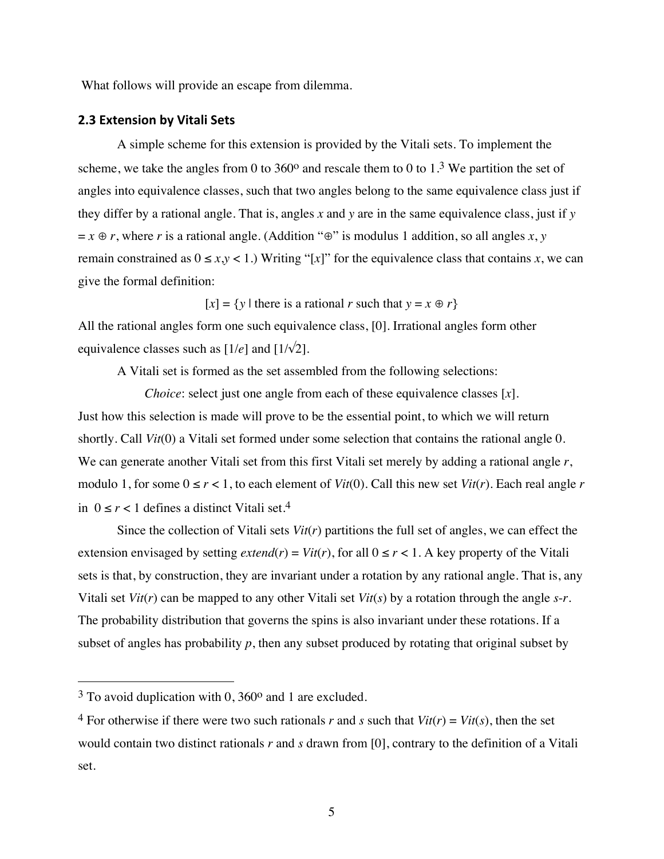What follows will provide an escape from dilemma.

#### **2.3 Extension by Vitali Sets**

A simple scheme for this extension is provided by the Vitali sets. To implement the scheme, we take the angles from 0 to  $360^{\circ}$  and rescale them to 0 to 1.<sup>3</sup> We partition the set of angles into equivalence classes, such that two angles belong to the same equivalence class just if they differ by a rational angle. That is, angles *x* and *y* are in the same equivalence class, just if *y*  $= x \oplus r$ , where *r* is a rational angle. (Addition " $\oplus$ " is modulus 1 addition, so all angles *x*, *y* remain constrained as  $0 \le x, y < 1$ .) Writing "[x]" for the equivalence class that contains x, we can give the formal definition:

 $[x] = \{y \mid \text{there is a rational } r \text{ such that } y = x \oplus r\}$ 

All the rational angles form one such equivalence class, [0]. Irrational angles form other equivalence classes such as  $[1/e]$  and  $[1/\sqrt{2}]$ .

A Vitali set is formed as the set assembled from the following selections:

*Choice*: select just one angle from each of these equivalence classes [*x*]. Just how this selection is made will prove to be the essential point, to which we will return shortly. Call *Vit*(0) a Vitali set formed under some selection that contains the rational angle 0. We can generate another Vitali set from this first Vitali set merely by adding a rational angle *r*, modulo 1, for some  $0 \le r < 1$ , to each element of *Vit*(0). Call this new set *Vit(r)*. Each real angle *r* in  $0 \le r < 1$  defines a distinct Vitali set.<sup>4</sup>

Since the collection of Vitali sets *Vit*(*r*) partitions the full set of angles, we can effect the extension envisaged by setting *extend*(*r*) =  $Vit(r)$ , for all  $0 \le r < 1$ . A key property of the Vitali sets is that, by construction, they are invariant under a rotation by any rational angle. That is, any Vitali set *Vit*(*r*) can be mapped to any other Vitali set *Vit*(*s*) by a rotation through the angle *s*-*r*. The probability distribution that governs the spins is also invariant under these rotations. If a subset of angles has probability *p*, then any subset produced by rotating that original subset by

 $\overline{a}$ 

 $3$  To avoid duplication with 0, 360 $\degree$  and 1 are excluded.

<sup>&</sup>lt;sup>4</sup> For otherwise if there were two such rationals *r* and *s* such that  $Vit(r) = Vit(s)$ , then the set would contain two distinct rationals *r* and *s* drawn from [0], contrary to the definition of a Vitali set.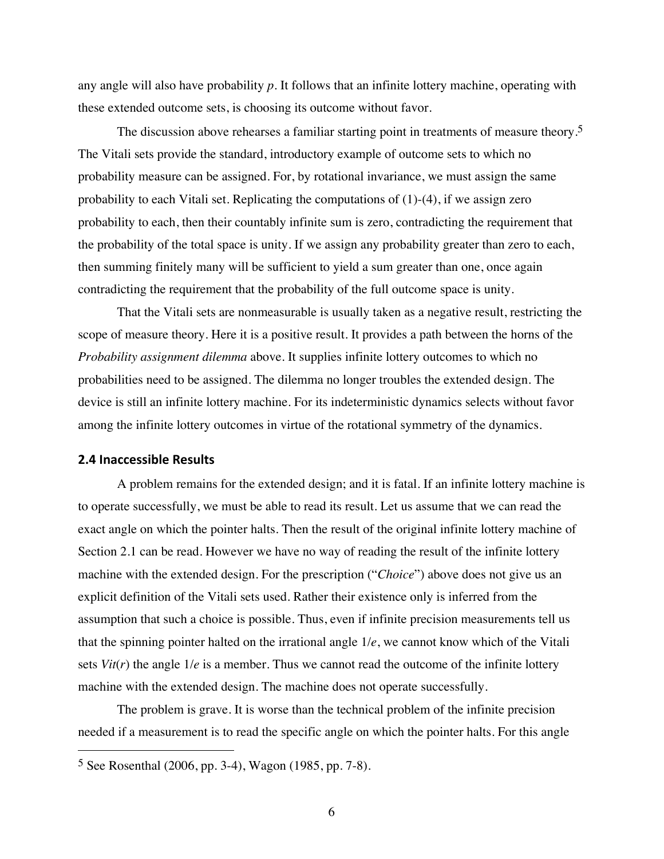any angle will also have probability *p*. It follows that an infinite lottery machine, operating with these extended outcome sets, is choosing its outcome without favor.

The discussion above rehearses a familiar starting point in treatments of measure theory.<sup>5</sup> The Vitali sets provide the standard, introductory example of outcome sets to which no probability measure can be assigned. For, by rotational invariance, we must assign the same probability to each Vitali set. Replicating the computations of (1)-(4), if we assign zero probability to each, then their countably infinite sum is zero, contradicting the requirement that the probability of the total space is unity. If we assign any probability greater than zero to each, then summing finitely many will be sufficient to yield a sum greater than one, once again contradicting the requirement that the probability of the full outcome space is unity.

That the Vitali sets are nonmeasurable is usually taken as a negative result, restricting the scope of measure theory. Here it is a positive result. It provides a path between the horns of the *Probability assignment dilemma* above. It supplies infinite lottery outcomes to which no probabilities need to be assigned. The dilemma no longer troubles the extended design. The device is still an infinite lottery machine. For its indeterministic dynamics selects without favor among the infinite lottery outcomes in virtue of the rotational symmetry of the dynamics.

## **2.4 Inaccessible Results**

A problem remains for the extended design; and it is fatal. If an infinite lottery machine is to operate successfully, we must be able to read its result. Let us assume that we can read the exact angle on which the pointer halts. Then the result of the original infinite lottery machine of Section 2.1 can be read. However we have no way of reading the result of the infinite lottery machine with the extended design. For the prescription ("*Choice*") above does not give us an explicit definition of the Vitali sets used. Rather their existence only is inferred from the assumption that such a choice is possible. Thus, even if infinite precision measurements tell us that the spinning pointer halted on the irrational angle 1/*e*, we cannot know which of the Vitali sets *Vit*(*r*) the angle 1/*e* is a member. Thus we cannot read the outcome of the infinite lottery machine with the extended design. The machine does not operate successfully.

The problem is grave. It is worse than the technical problem of the infinite precision needed if a measurement is to read the specific angle on which the pointer halts. For this angle

 <sup>5</sup> See Rosenthal (2006, pp. 3-4), Wagon (1985, pp. 7-8).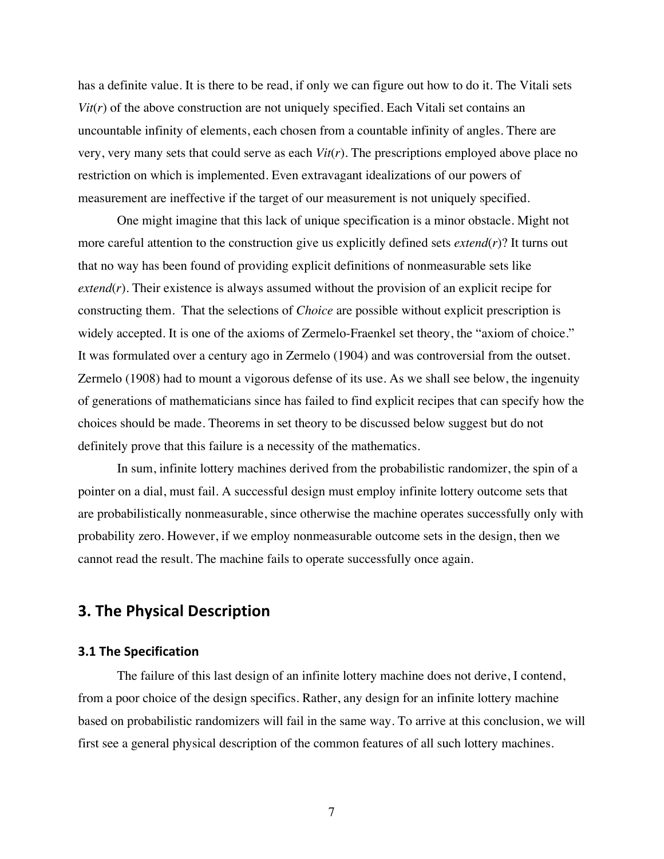has a definite value. It is there to be read, if only we can figure out how to do it. The Vitali sets *Vit(r)* of the above construction are not uniquely specified. Each Vitali set contains an uncountable infinity of elements, each chosen from a countable infinity of angles. There are very, very many sets that could serve as each *Vit*(*r*). The prescriptions employed above place no restriction on which is implemented. Even extravagant idealizations of our powers of measurement are ineffective if the target of our measurement is not uniquely specified.

One might imagine that this lack of unique specification is a minor obstacle. Might not more careful attention to the construction give us explicitly defined sets *extend*(*r*)? It turns out that no way has been found of providing explicit definitions of nonmeasurable sets like *extend*(*r*). Their existence is always assumed without the provision of an explicit recipe for constructing them. That the selections of *Choice* are possible without explicit prescription is widely accepted. It is one of the axioms of Zermelo-Fraenkel set theory, the "axiom of choice." It was formulated over a century ago in Zermelo (1904) and was controversial from the outset. Zermelo (1908) had to mount a vigorous defense of its use. As we shall see below, the ingenuity of generations of mathematicians since has failed to find explicit recipes that can specify how the choices should be made. Theorems in set theory to be discussed below suggest but do not definitely prove that this failure is a necessity of the mathematics.

In sum, infinite lottery machines derived from the probabilistic randomizer, the spin of a pointer on a dial, must fail. A successful design must employ infinite lottery outcome sets that are probabilistically nonmeasurable, since otherwise the machine operates successfully only with probability zero. However, if we employ nonmeasurable outcome sets in the design, then we cannot read the result. The machine fails to operate successfully once again.

# **3. The Physical Description**

#### **3.1 The Specification**

The failure of this last design of an infinite lottery machine does not derive, I contend, from a poor choice of the design specifics. Rather, any design for an infinite lottery machine based on probabilistic randomizers will fail in the same way. To arrive at this conclusion, we will first see a general physical description of the common features of all such lottery machines.

7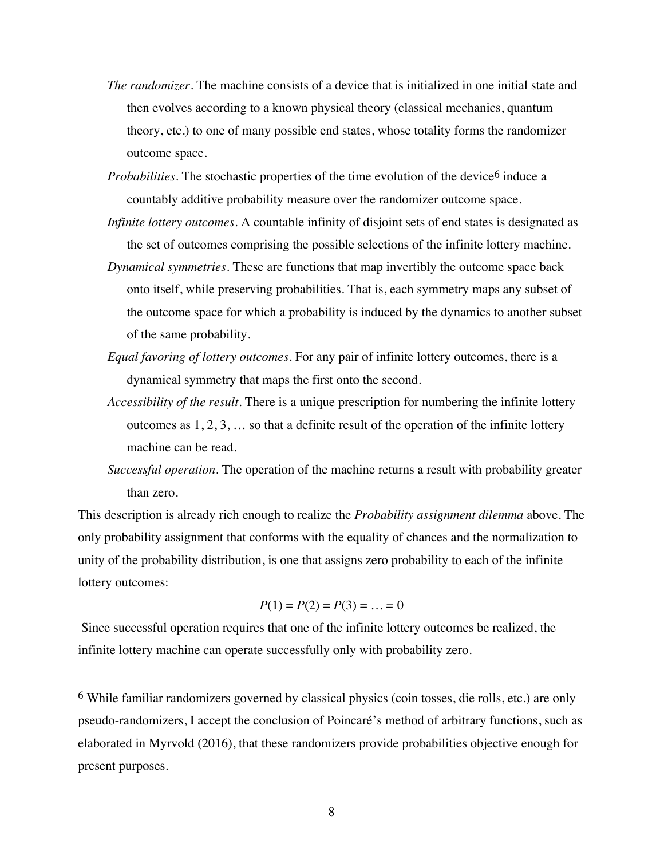- *The randomizer.* The machine consists of a device that is initialized in one initial state and then evolves according to a known physical theory (classical mechanics, quantum theory, etc.) to one of many possible end states, whose totality forms the randomizer outcome space.
- *Probabilities*. The stochastic properties of the time evolution of the device<sup>6</sup> induce a countably additive probability measure over the randomizer outcome space.
- *Infinite lottery outcomes.* A countable infinity of disjoint sets of end states is designated as the set of outcomes comprising the possible selections of the infinite lottery machine.
- *Dynamical symmetries.* These are functions that map invertibly the outcome space back onto itself, while preserving probabilities. That is, each symmetry maps any subset of the outcome space for which a probability is induced by the dynamics to another subset of the same probability.
- *Equal favoring of lottery outcomes.* For any pair of infinite lottery outcomes, there is a dynamical symmetry that maps the first onto the second.
- *Accessibility of the result.* There is a unique prescription for numbering the infinite lottery outcomes as 1, 2, 3, … so that a definite result of the operation of the infinite lottery machine can be read.
- *Successful operation*. The operation of the machine returns a result with probability greater than zero.

This description is already rich enough to realize the *Probability assignment dilemma* above. The only probability assignment that conforms with the equality of chances and the normalization to unity of the probability distribution, is one that assigns zero probability to each of the infinite lottery outcomes:

$$
P(1) = P(2) = P(3) = \ldots = 0
$$

Since successful operation requires that one of the infinite lottery outcomes be realized, the infinite lottery machine can operate successfully only with probability zero.

 <sup>6</sup> While familiar randomizers governed by classical physics (coin tosses, die rolls, etc.) are only pseudo-randomizers, I accept the conclusion of Poincaré's method of arbitrary functions, such as elaborated in Myrvold (2016), that these randomizers provide probabilities objective enough for present purposes.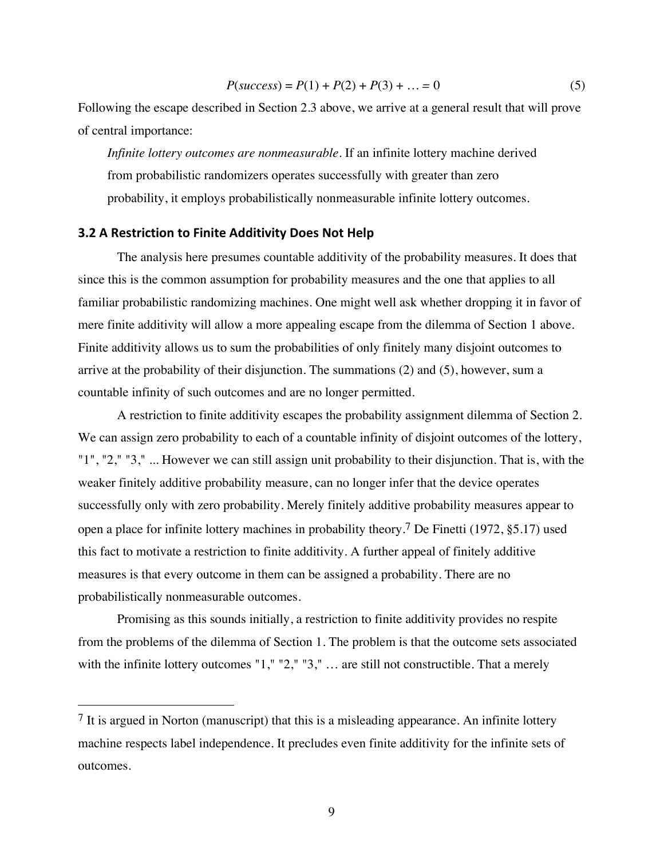$$
P(success) = P(1) + P(2) + P(3) + \dots = 0
$$
\n(5)

Following the escape described in Section 2.3 above, we arrive at a general result that will prove of central importance:

*Infinite lottery outcomes are nonmeasurable.* If an infinite lottery machine derived from probabilistic randomizers operates successfully with greater than zero probability, it employs probabilistically nonmeasurable infinite lottery outcomes.

#### **3.2 A Restriction to Finite Additivity Does Not Help**

The analysis here presumes countable additivity of the probability measures. It does that since this is the common assumption for probability measures and the one that applies to all familiar probabilistic randomizing machines. One might well ask whether dropping it in favor of mere finite additivity will allow a more appealing escape from the dilemma of Section 1 above. Finite additivity allows us to sum the probabilities of only finitely many disjoint outcomes to arrive at the probability of their disjunction. The summations (2) and (5), however, sum a countable infinity of such outcomes and are no longer permitted.

A restriction to finite additivity escapes the probability assignment dilemma of Section 2. We can assign zero probability to each of a countable infinity of disjoint outcomes of the lottery, "1", "2," "3," ... However we can still assign unit probability to their disjunction. That is, with the weaker finitely additive probability measure, can no longer infer that the device operates successfully only with zero probability. Merely finitely additive probability measures appear to open a place for infinite lottery machines in probability theory.7 De Finetti (1972, §5.17) used this fact to motivate a restriction to finite additivity. A further appeal of finitely additive measures is that every outcome in them can be assigned a probability. There are no probabilistically nonmeasurable outcomes.

Promising as this sounds initially, a restriction to finite additivity provides no respite from the problems of the dilemma of Section 1. The problem is that the outcome sets associated with the infinite lottery outcomes "1," "2," "3," ... are still not constructible. That a merely

 $<sup>7</sup>$  It is argued in Norton (manuscript) that this is a misleading appearance. An infinite lottery</sup> machine respects label independence. It precludes even finite additivity for the infinite sets of outcomes.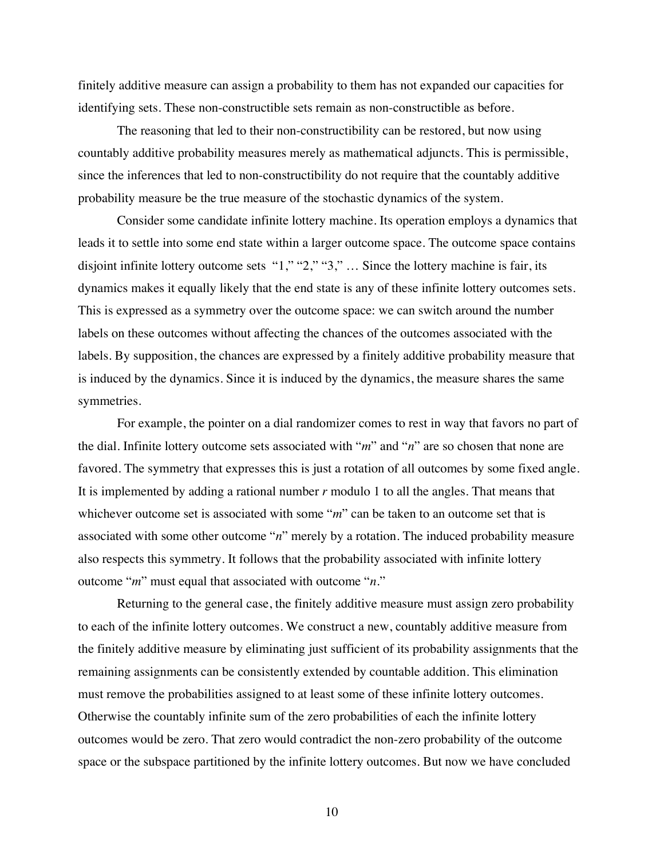finitely additive measure can assign a probability to them has not expanded our capacities for identifying sets. These non-constructible sets remain as non-constructible as before.

The reasoning that led to their non-constructibility can be restored, but now using countably additive probability measures merely as mathematical adjuncts. This is permissible, since the inferences that led to non-constructibility do not require that the countably additive probability measure be the true measure of the stochastic dynamics of the system.

Consider some candidate infinite lottery machine. Its operation employs a dynamics that leads it to settle into some end state within a larger outcome space. The outcome space contains disjoint infinite lottery outcome sets "1," "2," "3," ... Since the lottery machine is fair, its dynamics makes it equally likely that the end state is any of these infinite lottery outcomes sets. This is expressed as a symmetry over the outcome space: we can switch around the number labels on these outcomes without affecting the chances of the outcomes associated with the labels. By supposition, the chances are expressed by a finitely additive probability measure that is induced by the dynamics. Since it is induced by the dynamics, the measure shares the same symmetries.

For example, the pointer on a dial randomizer comes to rest in way that favors no part of the dial. Infinite lottery outcome sets associated with "*m*" and "*n*" are so chosen that none are favored. The symmetry that expresses this is just a rotation of all outcomes by some fixed angle. It is implemented by adding a rational number *r* modulo 1 to all the angles. That means that whichever outcome set is associated with some "*m*" can be taken to an outcome set that is associated with some other outcome "*n*" merely by a rotation. The induced probability measure also respects this symmetry. It follows that the probability associated with infinite lottery outcome "*m*" must equal that associated with outcome "*n*."

Returning to the general case, the finitely additive measure must assign zero probability to each of the infinite lottery outcomes. We construct a new, countably additive measure from the finitely additive measure by eliminating just sufficient of its probability assignments that the remaining assignments can be consistently extended by countable addition. This elimination must remove the probabilities assigned to at least some of these infinite lottery outcomes. Otherwise the countably infinite sum of the zero probabilities of each the infinite lottery outcomes would be zero. That zero would contradict the non-zero probability of the outcome space or the subspace partitioned by the infinite lottery outcomes. But now we have concluded

10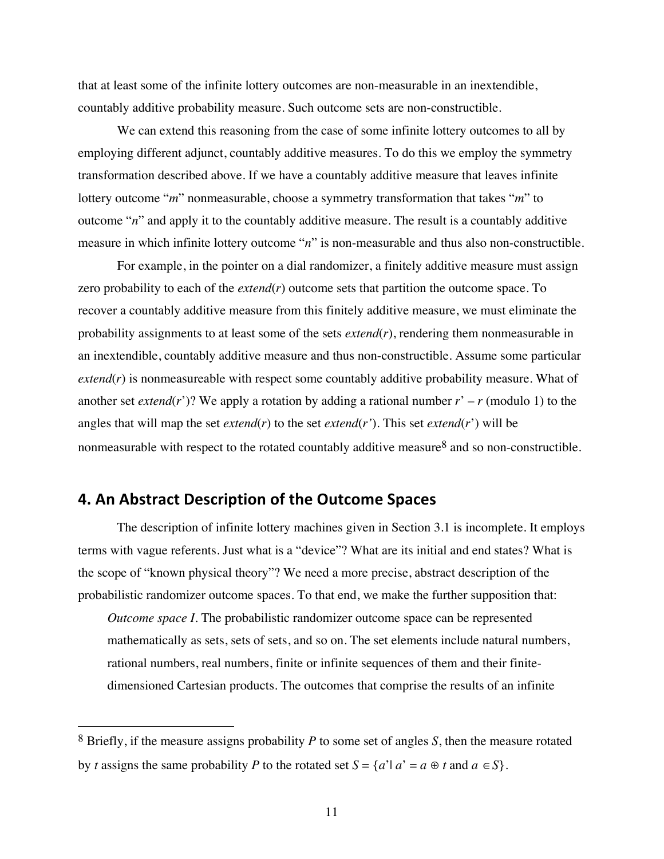that at least some of the infinite lottery outcomes are non-measurable in an inextendible, countably additive probability measure. Such outcome sets are non-constructible.

We can extend this reasoning from the case of some infinite lottery outcomes to all by employing different adjunct, countably additive measures. To do this we employ the symmetry transformation described above. If we have a countably additive measure that leaves infinite lottery outcome "*m*" nonmeasurable, choose a symmetry transformation that takes "*m*" to outcome "*n*" and apply it to the countably additive measure. The result is a countably additive measure in which infinite lottery outcome "*n*" is non-measurable and thus also non-constructible.

For example, in the pointer on a dial randomizer, a finitely additive measure must assign zero probability to each of the *extend*(*r*) outcome sets that partition the outcome space. To recover a countably additive measure from this finitely additive measure, we must eliminate the probability assignments to at least some of the sets *extend*(*r*), rendering them nonmeasurable in an inextendible, countably additive measure and thus non-constructible. Assume some particular *extend*(*r*) is nonmeasureable with respect some countably additive probability measure. What of another set *extend*(*r*')? We apply a rotation by adding a rational number  $r' - r$  (modulo 1) to the angles that will map the set *extend*(*r*) to the set *extend*(*r*). This set *extend*(*r*) will be nonmeasurable with respect to the rotated countably additive measure<sup>8</sup> and so non-constructible.

# **4. An Abstract Description of the Outcome Spaces**

 $\overline{a}$ 

The description of infinite lottery machines given in Section 3.1 is incomplete. It employs terms with vague referents. Just what is a "device"? What are its initial and end states? What is the scope of "known physical theory"? We need a more precise, abstract description of the probabilistic randomizer outcome spaces. To that end, we make the further supposition that:

*Outcome space I.* The probabilistic randomizer outcome space can be represented mathematically as sets, sets of sets, and so on. The set elements include natural numbers, rational numbers, real numbers, finite or infinite sequences of them and their finitedimensioned Cartesian products. The outcomes that comprise the results of an infinite

<sup>8</sup> Briefly, if the measure assigns probability *P* to some set of angles *S*, then the measure rotated by *t* assigns the same probability *P* to the rotated set  $S = \{a' | a' = a \oplus t \text{ and } a \in S\}.$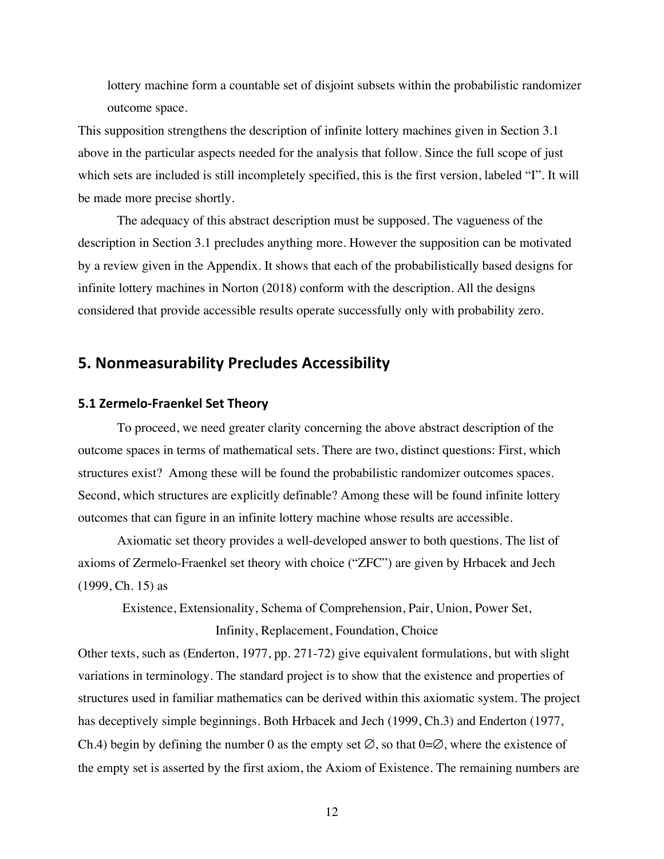lottery machine form a countable set of disjoint subsets within the probabilistic randomizer outcome space.

This supposition strengthens the description of infinite lottery machines given in Section 3.1 above in the particular aspects needed for the analysis that follow. Since the full scope of just which sets are included is still incompletely specified, this is the first version, labeled "I". It will be made more precise shortly.

The adequacy of this abstract description must be supposed. The vagueness of the description in Section 3.1 precludes anything more. However the supposition can be motivated by a review given in the Appendix. It shows that each of the probabilistically based designs for infinite lottery machines in Norton (2018) conform with the description. All the designs considered that provide accessible results operate successfully only with probability zero.

# **5. Nonmeasurability Precludes Accessibility**

#### **5.1 Zermelo-Fraenkel Set Theory**

To proceed, we need greater clarity concerning the above abstract description of the outcome spaces in terms of mathematical sets. There are two, distinct questions: First, which structures exist? Among these will be found the probabilistic randomizer outcomes spaces. Second, which structures are explicitly definable? Among these will be found infinite lottery outcomes that can figure in an infinite lottery machine whose results are accessible.

Axiomatic set theory provides a well-developed answer to both questions. The list of axioms of Zermelo-Fraenkel set theory with choice ("ZFC") are given by Hrbacek and Jech (1999, Ch. 15) as

Existence, Extensionality, Schema of Comprehension, Pair, Union, Power Set, Infinity, Replacement, Foundation, Choice

Other texts, such as (Enderton, 1977, pp. 271-72) give equivalent formulations, but with slight variations in terminology. The standard project is to show that the existence and properties of structures used in familiar mathematics can be derived within this axiomatic system. The project has deceptively simple beginnings. Both Hrbacek and Jech (1999, Ch.3) and Enderton (1977, Ch.4) begin by defining the number 0 as the empty set  $\emptyset$ , so that  $0=\emptyset$ , where the existence of the empty set is asserted by the first axiom, the Axiom of Existence. The remaining numbers are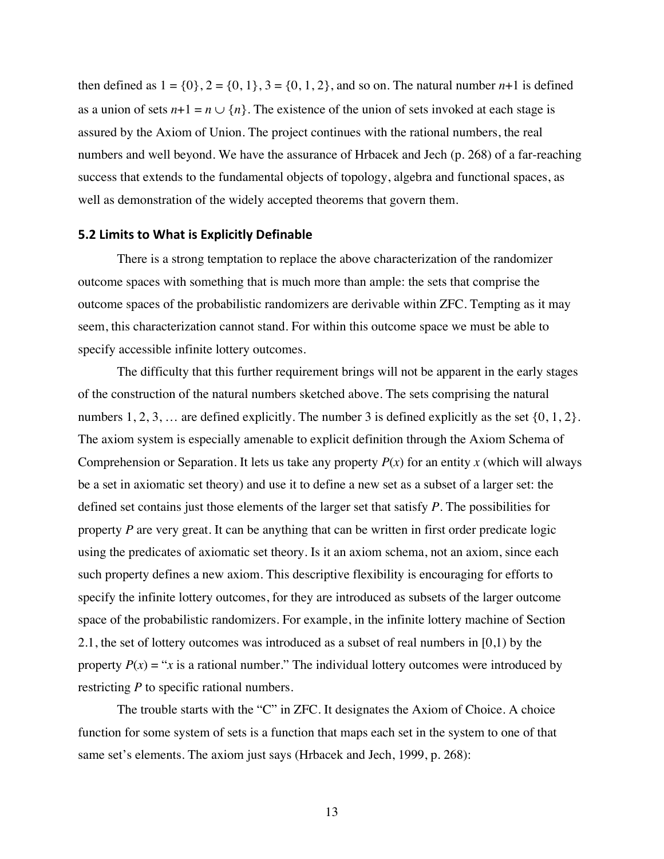then defined as  $1 = \{0\}$ ,  $2 = \{0, 1\}$ ,  $3 = \{0, 1, 2\}$ , and so on. The natural number  $n+1$  is defined as a union of sets  $n+1 = n \cup \{n\}$ . The existence of the union of sets invoked at each stage is assured by the Axiom of Union. The project continues with the rational numbers, the real numbers and well beyond. We have the assurance of Hrbacek and Jech (p. 268) of a far-reaching success that extends to the fundamental objects of topology, algebra and functional spaces, as well as demonstration of the widely accepted theorems that govern them.

#### **5.2 Limits to What is Explicitly Definable**

There is a strong temptation to replace the above characterization of the randomizer outcome spaces with something that is much more than ample: the sets that comprise the outcome spaces of the probabilistic randomizers are derivable within ZFC. Tempting as it may seem, this characterization cannot stand. For within this outcome space we must be able to specify accessible infinite lottery outcomes.

The difficulty that this further requirement brings will not be apparent in the early stages of the construction of the natural numbers sketched above. The sets comprising the natural numbers  $1, 2, 3, \ldots$  are defined explicitly. The number 3 is defined explicitly as the set  $\{0, 1, 2\}$ . The axiom system is especially amenable to explicit definition through the Axiom Schema of Comprehension or Separation. It lets us take any property  $P(x)$  for an entity x (which will always be a set in axiomatic set theory) and use it to define a new set as a subset of a larger set: the defined set contains just those elements of the larger set that satisfy *P*. The possibilities for property *P* are very great. It can be anything that can be written in first order predicate logic using the predicates of axiomatic set theory. Is it an axiom schema, not an axiom, since each such property defines a new axiom. This descriptive flexibility is encouraging for efforts to specify the infinite lottery outcomes, for they are introduced as subsets of the larger outcome space of the probabilistic randomizers. For example, in the infinite lottery machine of Section 2.1, the set of lottery outcomes was introduced as a subset of real numbers in [0,1) by the property  $P(x) = x$  is a rational number." The individual lottery outcomes were introduced by restricting *P* to specific rational numbers.

The trouble starts with the "C" in ZFC. It designates the Axiom of Choice. A choice function for some system of sets is a function that maps each set in the system to one of that same set's elements. The axiom just says (Hrbacek and Jech, 1999, p. 268):

13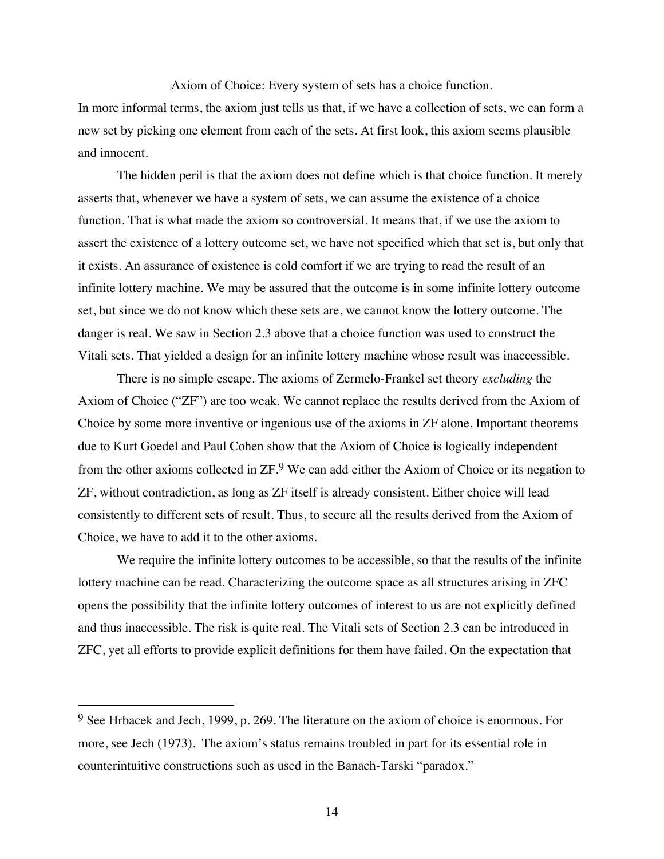Axiom of Choice: Every system of sets has a choice function.

In more informal terms, the axiom just tells us that, if we have a collection of sets, we can form a new set by picking one element from each of the sets. At first look, this axiom seems plausible and innocent.

The hidden peril is that the axiom does not define which is that choice function. It merely asserts that, whenever we have a system of sets, we can assume the existence of a choice function. That is what made the axiom so controversial. It means that, if we use the axiom to assert the existence of a lottery outcome set, we have not specified which that set is, but only that it exists. An assurance of existence is cold comfort if we are trying to read the result of an infinite lottery machine. We may be assured that the outcome is in some infinite lottery outcome set, but since we do not know which these sets are, we cannot know the lottery outcome. The danger is real. We saw in Section 2.3 above that a choice function was used to construct the Vitali sets. That yielded a design for an infinite lottery machine whose result was inaccessible.

There is no simple escape. The axioms of Zermelo-Frankel set theory *excluding* the Axiom of Choice ("ZF") are too weak. We cannot replace the results derived from the Axiom of Choice by some more inventive or ingenious use of the axioms in ZF alone. Important theorems due to Kurt Goedel and Paul Cohen show that the Axiom of Choice is logically independent from the other axioms collected in ZF.<sup>9</sup> We can add either the Axiom of Choice or its negation to ZF, without contradiction, as long as ZF itself is already consistent. Either choice will lead consistently to different sets of result. Thus, to secure all the results derived from the Axiom of Choice, we have to add it to the other axioms.

We require the infinite lottery outcomes to be accessible, so that the results of the infinite lottery machine can be read. Characterizing the outcome space as all structures arising in ZFC opens the possibility that the infinite lottery outcomes of interest to us are not explicitly defined and thus inaccessible. The risk is quite real. The Vitali sets of Section 2.3 can be introduced in ZFC, yet all efforts to provide explicit definitions for them have failed. On the expectation that

<sup>&</sup>lt;sup>9</sup> See Hrbacek and Jech, 1999, p. 269. The literature on the axiom of choice is enormous. For more, see Jech (1973). The axiom's status remains troubled in part for its essential role in counterintuitive constructions such as used in the Banach-Tarski "paradox."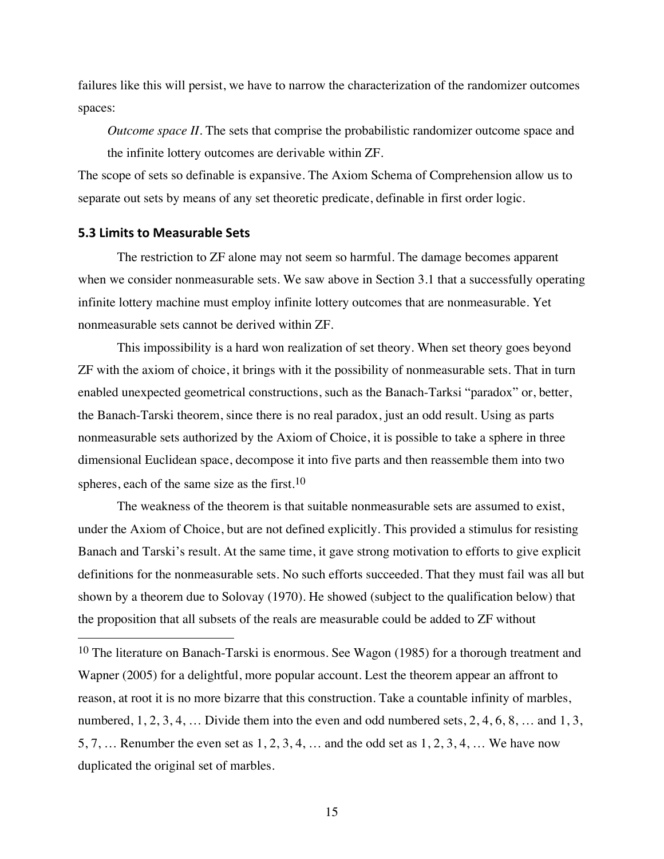failures like this will persist, we have to narrow the characterization of the randomizer outcomes spaces:

*Outcome space II.* The sets that comprise the probabilistic randomizer outcome space and the infinite lottery outcomes are derivable within ZF.

The scope of sets so definable is expansive. The Axiom Schema of Comprehension allow us to separate out sets by means of any set theoretic predicate, definable in first order logic.

#### **5.3 Limits to Measurable Sets**

The restriction to ZF alone may not seem so harmful. The damage becomes apparent when we consider nonmeasurable sets. We saw above in Section 3.1 that a successfully operating infinite lottery machine must employ infinite lottery outcomes that are nonmeasurable. Yet nonmeasurable sets cannot be derived within ZF.

This impossibility is a hard won realization of set theory. When set theory goes beyond ZF with the axiom of choice, it brings with it the possibility of nonmeasurable sets. That in turn enabled unexpected geometrical constructions, such as the Banach-Tarksi "paradox" or, better, the Banach-Tarski theorem, since there is no real paradox, just an odd result. Using as parts nonmeasurable sets authorized by the Axiom of Choice, it is possible to take a sphere in three dimensional Euclidean space, decompose it into five parts and then reassemble them into two spheres, each of the same size as the first.<sup>10</sup>

The weakness of the theorem is that suitable nonmeasurable sets are assumed to exist, under the Axiom of Choice, but are not defined explicitly. This provided a stimulus for resisting Banach and Tarski's result. At the same time, it gave strong motivation to efforts to give explicit definitions for the nonmeasurable sets. No such efforts succeeded. That they must fail was all but shown by a theorem due to Solovay (1970). He showed (subject to the qualification below) that the proposition that all subsets of the reals are measurable could be added to ZF without

<sup>&</sup>lt;sup>10</sup> The literature on Banach-Tarski is enormous. See Wagon (1985) for a thorough treatment and Wapner (2005) for a delightful, more popular account. Lest the theorem appear an affront to reason, at root it is no more bizarre that this construction. Take a countable infinity of marbles, numbered,  $1, 2, 3, 4, \ldots$  Divide them into the even and odd numbered sets,  $2, 4, 6, 8, \ldots$  and  $1, 3,$ 5, 7, … Renumber the even set as 1, 2, 3, 4, … and the odd set as 1, 2, 3, 4, … We have now duplicated the original set of marbles.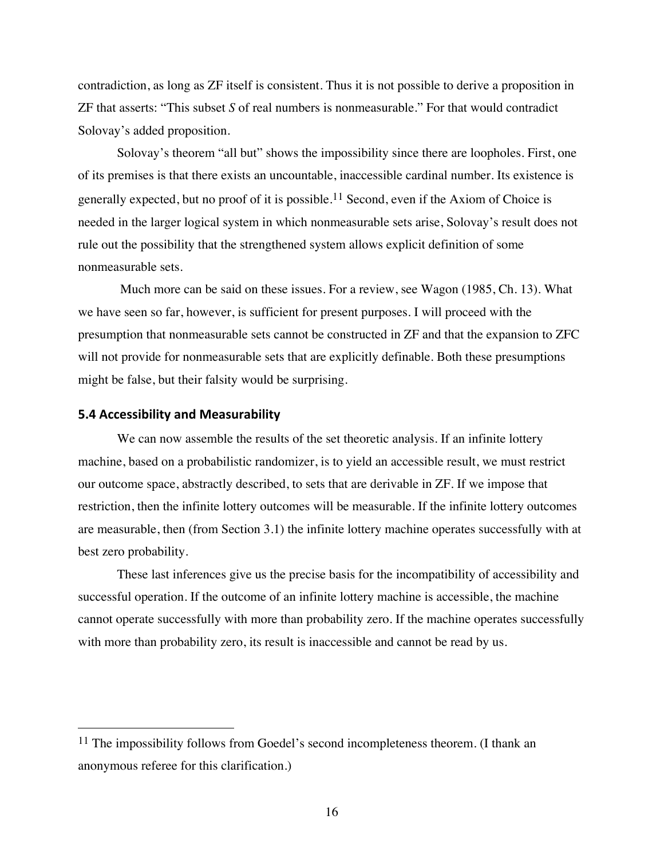contradiction, as long as ZF itself is consistent. Thus it is not possible to derive a proposition in ZF that asserts: "This subset *S* of real numbers is nonmeasurable." For that would contradict Solovay's added proposition.

Solovay's theorem "all but" shows the impossibility since there are loopholes. First, one of its premises is that there exists an uncountable, inaccessible cardinal number. Its existence is generally expected, but no proof of it is possible. 11 Second, even if the Axiom of Choice is needed in the larger logical system in which nonmeasurable sets arise, Solovay's result does not rule out the possibility that the strengthened system allows explicit definition of some nonmeasurable sets.

Much more can be said on these issues. For a review, see Wagon (1985, Ch. 13). What we have seen so far, however, is sufficient for present purposes. I will proceed with the presumption that nonmeasurable sets cannot be constructed in ZF and that the expansion to ZFC will not provide for nonmeasurable sets that are explicitly definable. Both these presumptions might be false, but their falsity would be surprising.

#### **5.4 Accessibility and Measurability**

 $\overline{a}$ 

We can now assemble the results of the set theoretic analysis. If an infinite lottery machine, based on a probabilistic randomizer, is to yield an accessible result, we must restrict our outcome space, abstractly described, to sets that are derivable in ZF. If we impose that restriction, then the infinite lottery outcomes will be measurable. If the infinite lottery outcomes are measurable, then (from Section 3.1) the infinite lottery machine operates successfully with at best zero probability.

These last inferences give us the precise basis for the incompatibility of accessibility and successful operation. If the outcome of an infinite lottery machine is accessible, the machine cannot operate successfully with more than probability zero. If the machine operates successfully with more than probability zero, its result is inaccessible and cannot be read by us.

<sup>&</sup>lt;sup>11</sup> The impossibility follows from Goedel's second incompleteness theorem. (I thank an anonymous referee for this clarification.)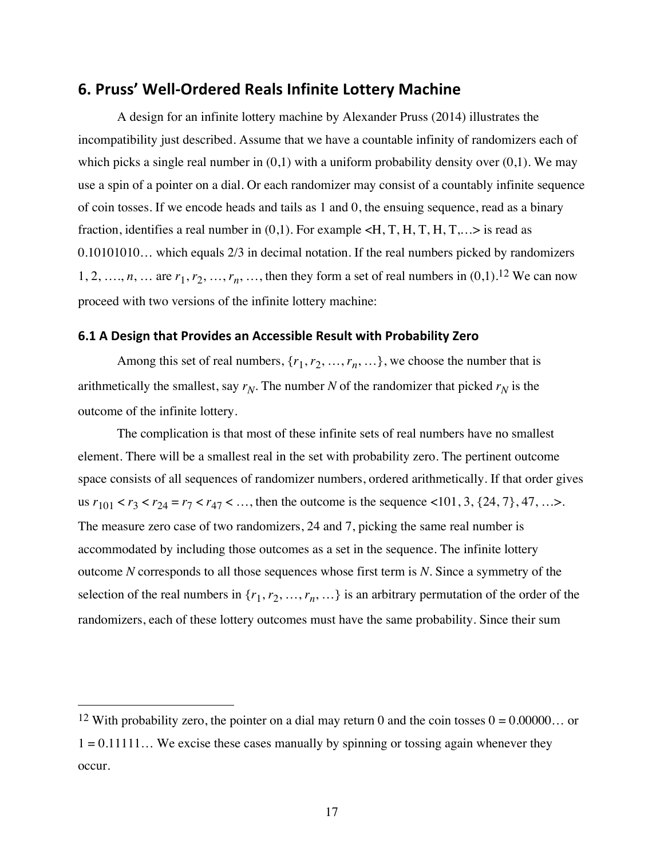## **6. Pruss' Well-Ordered Reals Infinite Lottery Machine**

A design for an infinite lottery machine by Alexander Pruss (2014) illustrates the incompatibility just described. Assume that we have a countable infinity of randomizers each of which picks a single real number in  $(0,1)$  with a uniform probability density over  $(0,1)$ . We may use a spin of a pointer on a dial. Or each randomizer may consist of a countably infinite sequence of coin tosses. If we encode heads and tails as 1 and 0, the ensuing sequence, read as a binary fraction, identifies a real number in  $(0,1)$ . For example <H, T, H, T, H, T,...> is read as 0.10101010… which equals 2/3 in decimal notation. If the real numbers picked by randomizers 1, 2, …, *n*, … are  $r_1, r_2, ..., r_n, ...,$  then they form a set of real numbers in  $(0,1)$ .<sup>12</sup> We can now proceed with two versions of the infinite lottery machine:

### **6.1 A Design that Provides an Accessible Result with Probability Zero**

Among this set of real numbers,  $\{r_1, r_2, \ldots, r_n, \ldots\}$ , we choose the number that is arithmetically the smallest, say  $r_N$ . The number N of the randomizer that picked  $r_N$  is the outcome of the infinite lottery.

The complication is that most of these infinite sets of real numbers have no smallest element. There will be a smallest real in the set with probability zero. The pertinent outcome space consists of all sequences of randomizer numbers, ordered arithmetically. If that order gives us  $r_{101} < r_3 < r_{24} = r_7 < r_{47} < \dots$ , then the outcome is the sequence <101, 3, {24, 7}, 47, ...>. The measure zero case of two randomizers, 24 and 7, picking the same real number is accommodated by including those outcomes as a set in the sequence. The infinite lottery outcome *N* corresponds to all those sequences whose first term is *N*. Since a symmetry of the selection of the real numbers in  $\{r_1, r_2, ..., r_n, ...\}$  is an arbitrary permutation of the order of the randomizers, each of these lottery outcomes must have the same probability. Since their sum

<sup>&</sup>lt;sup>12</sup> With probability zero, the pointer on a dial may return 0 and the coin tosses  $0 = 0.00000...$  or  $1 = 0.11111...$  We excise these cases manually by spinning or tossing again whenever they occur.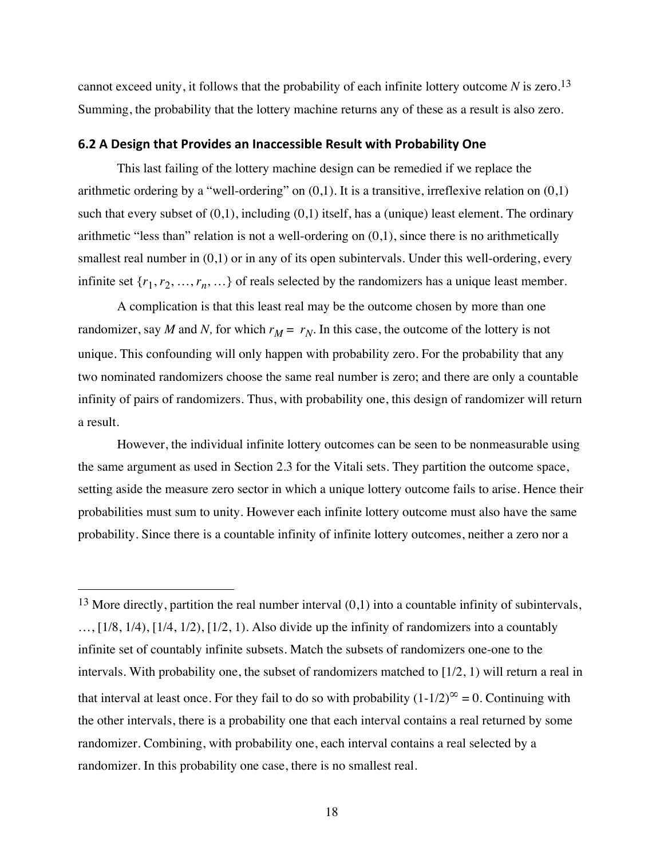cannot exceed unity, it follows that the probability of each infinite lottery outcome *N* is zero.13 Summing, the probability that the lottery machine returns any of these as a result is also zero.

#### **6.2 A Design that Provides an Inaccessible Result with Probability One**

This last failing of the lottery machine design can be remedied if we replace the arithmetic ordering by a "well-ordering" on  $(0,1)$ . It is a transitive, irreflexive relation on  $(0,1)$ such that every subset of  $(0,1)$ , including  $(0,1)$  itself, has a (unique) least element. The ordinary arithmetic "less than" relation is not a well-ordering on  $(0,1)$ , since there is no arithmetically smallest real number in  $(0,1)$  or in any of its open subintervals. Under this well-ordering, every infinite set  $\{r_1, r_2, \ldots, r_n, \ldots\}$  of reals selected by the randomizers has a unique least member.

A complication is that this least real may be the outcome chosen by more than one randomizer, say *M* and *N*, for which  $r_M = r_N$ . In this case, the outcome of the lottery is not unique. This confounding will only happen with probability zero. For the probability that any two nominated randomizers choose the same real number is zero; and there are only a countable infinity of pairs of randomizers. Thus, with probability one, this design of randomizer will return a result.

However, the individual infinite lottery outcomes can be seen to be nonmeasurable using the same argument as used in Section 2.3 for the Vitali sets. They partition the outcome space, setting aside the measure zero sector in which a unique lottery outcome fails to arise. Hence their probabilities must sum to unity. However each infinite lottery outcome must also have the same probability. Since there is a countable infinity of infinite lottery outcomes, neither a zero nor a

 $\overline{a}$ 

 $13$  More directly, partition the real number interval  $(0,1)$  into a countable infinity of subintervals,  $\ldots$ , [1/8, 1/4), [1/4, 1/2), [1/2, 1). Also divide up the infinity of randomizers into a countably infinite set of countably infinite subsets. Match the subsets of randomizers one-one to the intervals. With probability one, the subset of randomizers matched to [1/2, 1) will return a real in that interval at least once. For they fail to do so with probability  $(1-1/2)^{\infty} = 0$ . Continuing with the other intervals, there is a probability one that each interval contains a real returned by some randomizer. Combining, with probability one, each interval contains a real selected by a randomizer. In this probability one case, there is no smallest real.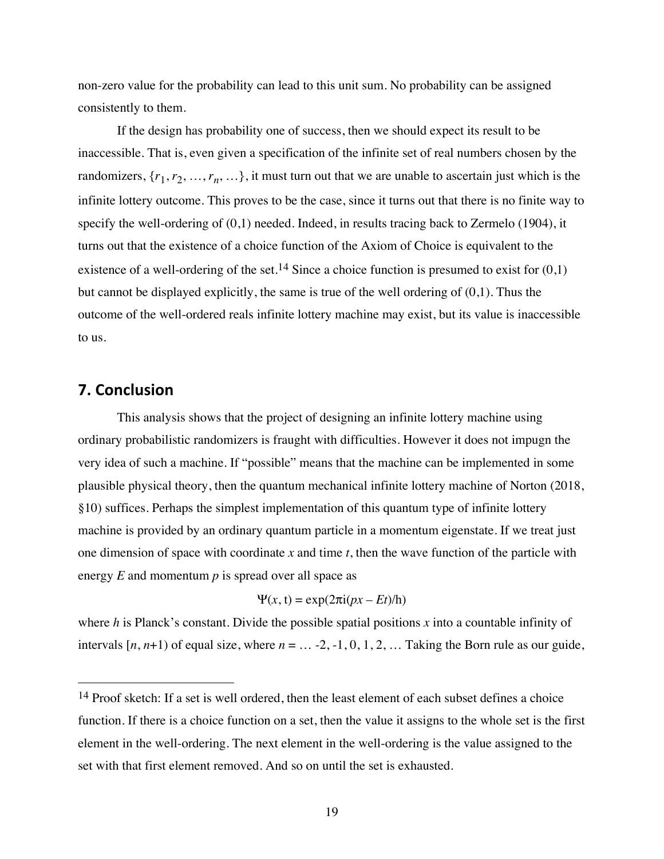non-zero value for the probability can lead to this unit sum. No probability can be assigned consistently to them.

If the design has probability one of success, then we should expect its result to be inaccessible. That is, even given a specification of the infinite set of real numbers chosen by the randomizers,  $\{r_1, r_2, \ldots, r_n, \ldots\}$ , it must turn out that we are unable to ascertain just which is the infinite lottery outcome. This proves to be the case, since it turns out that there is no finite way to specify the well-ordering of (0,1) needed. Indeed, in results tracing back to Zermelo (1904), it turns out that the existence of a choice function of the Axiom of Choice is equivalent to the existence of a well-ordering of the set.<sup>14</sup> Since a choice function is presumed to exist for  $(0,1)$ but cannot be displayed explicitly, the same is true of the well ordering of (0,1). Thus the outcome of the well-ordered reals infinite lottery machine may exist, but its value is inaccessible to us.

## **7. Conclusion**

This analysis shows that the project of designing an infinite lottery machine using ordinary probabilistic randomizers is fraught with difficulties. However it does not impugn the very idea of such a machine. If "possible" means that the machine can be implemented in some plausible physical theory, then the quantum mechanical infinite lottery machine of Norton (2018, §10) suffices. Perhaps the simplest implementation of this quantum type of infinite lottery machine is provided by an ordinary quantum particle in a momentum eigenstate. If we treat just one dimension of space with coordinate *x* and time *t*, then the wave function of the particle with energy  $E$  and momentum  $p$  is spread over all space as

$$
\Psi(x, t) = \exp(2\pi i(px - Et)/h)
$$

where *h* is Planck's constant. Divide the possible spatial positions *x* into a countable infinity of intervals  $[n, n+1)$  of equal size, where  $n = \ldots -2, -1, 0, 1, 2, \ldots$  Taking the Born rule as our guide,

<sup>&</sup>lt;sup>14</sup> Proof sketch: If a set is well ordered, then the least element of each subset defines a choice function. If there is a choice function on a set, then the value it assigns to the whole set is the first element in the well-ordering. The next element in the well-ordering is the value assigned to the set with that first element removed. And so on until the set is exhausted.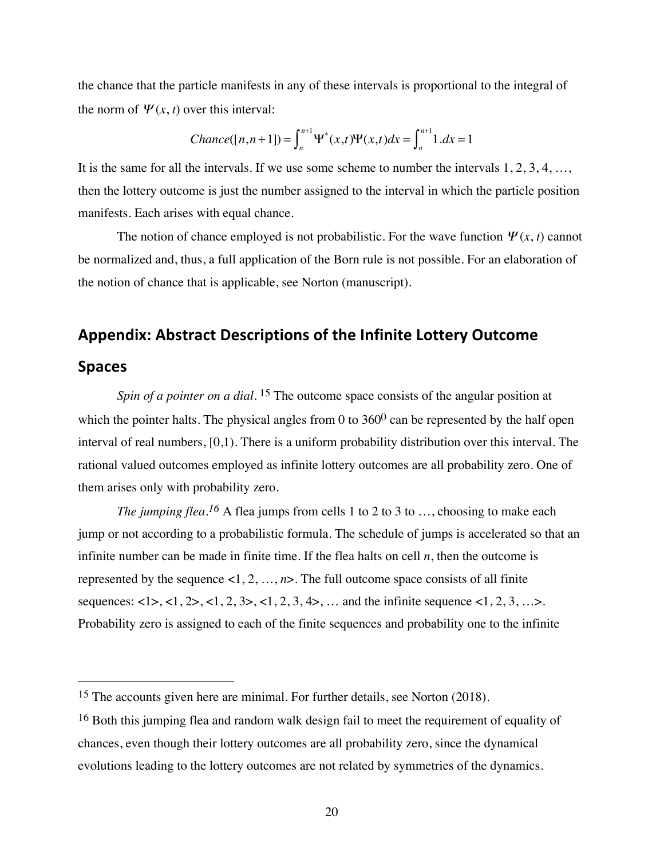the chance that the particle manifests in any of these intervals is proportional to the integral of the norm of  $\Psi(x, t)$  over this interval:

$$
Chance([n, n+1]) = \int_{n}^{n+1} \Psi^{*}(x, t) \Psi(x, t) dx = \int_{n}^{n+1} 1 dx = 1
$$

It is the same for all the intervals. If we use some scheme to number the intervals  $1, 2, 3, 4, \ldots$ , then the lottery outcome is just the number assigned to the interval in which the particle position manifests. Each arises with equal chance.

The notion of chance employed is not probabilistic. For the wave function  $\Psi(x, t)$  cannot be normalized and, thus, a full application of the Born rule is not possible. For an elaboration of the notion of chance that is applicable, see Norton (manuscript).

# Appendix: Abstract Descriptions of the Infinite Lottery Outcome

## **Spaces**

 $\overline{a}$ 

*Spin of a pointer on a dial.* <sup>15</sup> The outcome space consists of the angular position at which the pointer halts. The physical angles from 0 to  $360<sup>0</sup>$  can be represented by the half open interval of real numbers, [0,1). There is a uniform probability distribution over this interval. The rational valued outcomes employed as infinite lottery outcomes are all probability zero. One of them arises only with probability zero.

*The jumping flea.<sup>16</sup>* A flea jumps from cells 1 to 2 to 3 to ..., choosing to make each jump or not according to a probabilistic formula. The schedule of jumps is accelerated so that an infinite number can be made in finite time. If the flea halts on cell *n*, then the outcome is represented by the sequence  $\langle 1, 2, ..., n \rangle$ . The full outcome space consists of all finite sequences:  $\langle 1 \rangle$ ,  $\langle 1, 2 \rangle$ ,  $\langle 1, 2, 3 \rangle$ ,  $\langle 1, 2, 3, 4 \rangle$ , ... and the infinite sequence  $\langle 1, 2, 3, \ldots \rangle$ . Probability zero is assigned to each of the finite sequences and probability one to the infinite

<sup>15</sup> The accounts given here are minimal. For further details, see Norton (2018).

<sup>&</sup>lt;sup>16</sup> Both this jumping flea and random walk design fail to meet the requirement of equality of chances, even though their lottery outcomes are all probability zero, since the dynamical evolutions leading to the lottery outcomes are not related by symmetries of the dynamics.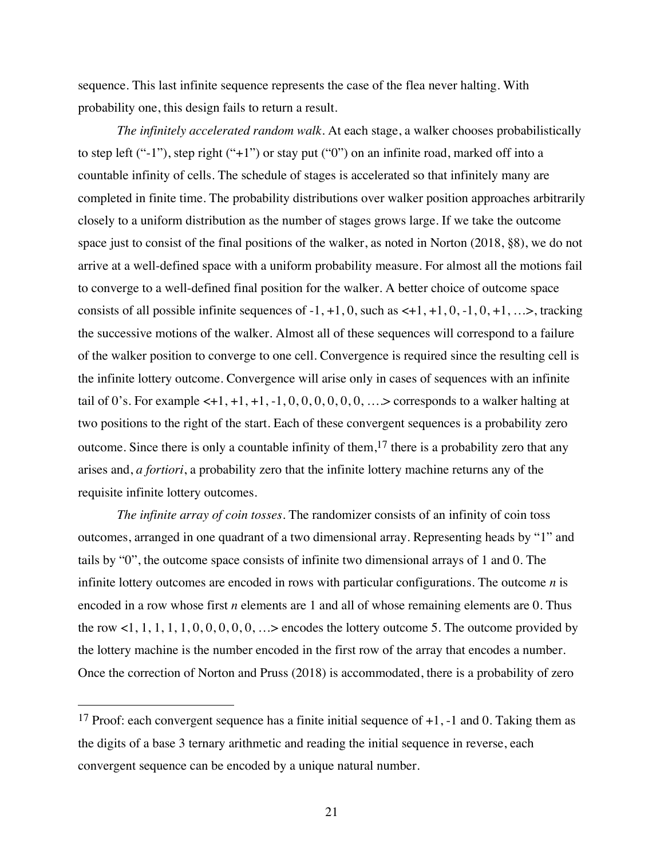sequence. This last infinite sequence represents the case of the flea never halting. With probability one, this design fails to return a result.

*The infinitely accelerated random walk.* At each stage, a walker chooses probabilistically to step left  $("-1")$ , step right  $("+1")$  or stay put  $("0")$  on an infinite road, marked off into a countable infinity of cells. The schedule of stages is accelerated so that infinitely many are completed in finite time. The probability distributions over walker position approaches arbitrarily closely to a uniform distribution as the number of stages grows large. If we take the outcome space just to consist of the final positions of the walker, as noted in Norton (2018, §8), we do not arrive at a well-defined space with a uniform probability measure. For almost all the motions fail to converge to a well-defined final position for the walker. A better choice of outcome space consists of all possible infinite sequences of  $-1$ ,  $+1$ , 0, such as  $\lt +1$ ,  $+1$ ,  $0$ ,  $-1$ ,  $0$ ,  $+1$ ,  $\ldots$ , tracking the successive motions of the walker. Almost all of these sequences will correspond to a failure of the walker position to converge to one cell. Convergence is required since the resulting cell is the infinite lottery outcome. Convergence will arise only in cases of sequences with an infinite tail of 0's. For example  $\lt 1, +1, +1, -1, 0, 0, 0, 0, 0, 0, \ldots$  > corresponds to a walker halting at two positions to the right of the start. Each of these convergent sequences is a probability zero outcome. Since there is only a countable infinity of them,  $17$  there is a probability zero that any arises and, *a fortiori*, a probability zero that the infinite lottery machine returns any of the requisite infinite lottery outcomes.

*The infinite array of coin tosses*. The randomizer consists of an infinity of coin toss outcomes, arranged in one quadrant of a two dimensional array. Representing heads by "1" and tails by "0", the outcome space consists of infinite two dimensional arrays of 1 and 0. The infinite lottery outcomes are encoded in rows with particular configurations. The outcome *n* is encoded in a row whose first *n* elements are 1 and all of whose remaining elements are 0. Thus the row <1, 1, 1, 1, 1, 0, 0, 0, 0, 0, ... > encodes the lottery outcome 5. The outcome provided by the lottery machine is the number encoded in the first row of the array that encodes a number. Once the correction of Norton and Pruss (2018) is accommodated, there is a probability of zero

<sup>&</sup>lt;sup>17</sup> Proof: each convergent sequence has a finite initial sequence of  $+1$ ,  $-1$  and 0. Taking them as the digits of a base 3 ternary arithmetic and reading the initial sequence in reverse, each convergent sequence can be encoded by a unique natural number.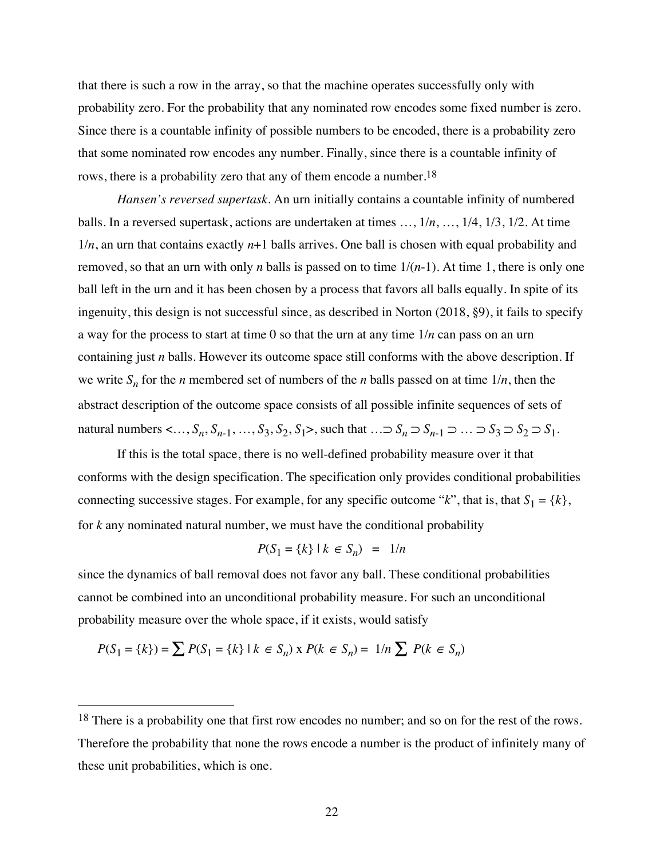that there is such a row in the array, so that the machine operates successfully only with probability zero. For the probability that any nominated row encodes some fixed number is zero. Since there is a countable infinity of possible numbers to be encoded, there is a probability zero that some nominated row encodes any number. Finally, since there is a countable infinity of rows, there is a probability zero that any of them encode a number.<sup>18</sup>

*Hansen's reversed supertask*. An urn initially contains a countable infinity of numbered balls. In a reversed supertask, actions are undertaken at times …, 1/*n*, …, 1/4, 1/3, 1/2. At time  $1/n$ , an urn that contains exactly  $n+1$  balls arrives. One ball is chosen with equal probability and removed, so that an urn with only *n* balls is passed on to time  $1/(n-1)$ . At time 1, there is only one ball left in the urn and it has been chosen by a process that favors all balls equally. In spite of its ingenuity, this design is not successful since, as described in Norton (2018, §9), it fails to specify a way for the process to start at time 0 so that the urn at any time 1/*n* can pass on an urn containing just *n* balls. However its outcome space still conforms with the above description. If we write  $S_n$  for the *n* membered set of numbers of the *n* balls passed on at time  $1/n$ , then the abstract description of the outcome space consists of all possible infinite sequences of sets of natural numbers <…,  $S_n$ ,  $S_{n-1}$ , …,  $S_3$ ,  $S_2$ ,  $S_1$ >, such that …⊃  $S_n$  ⊃  $S_{n-1}$  ⊃ … ⊃  $S_3$  ⊃  $S_2$  ⊃  $S_1$ .

If this is the total space, there is no well-defined probability measure over it that conforms with the design specification. The specification only provides conditional probabilities connecting successive stages. For example, for any specific outcome " $k$ ", that is, that  $S_1 = \{k\}$ , for *k* any nominated natural number, we must have the conditional probability

$$
P(S_1 = \{k\} \mid k \in S_n) = 1/n
$$

since the dynamics of ball removal does not favor any ball. These conditional probabilities cannot be combined into an unconditional probability measure. For such an unconditional probability measure over the whole space, if it exists, would satisfy

$$
P(S_1 = \{k\}) = \sum P(S_1 = \{k\} \mid k \in S_n) \ge P(k \in S_n) = 1/n \sum P(k \in S_n)
$$

<sup>&</sup>lt;sup>18</sup> There is a probability one that first row encodes no number; and so on for the rest of the rows. Therefore the probability that none the rows encode a number is the product of infinitely many of these unit probabilities, which is one.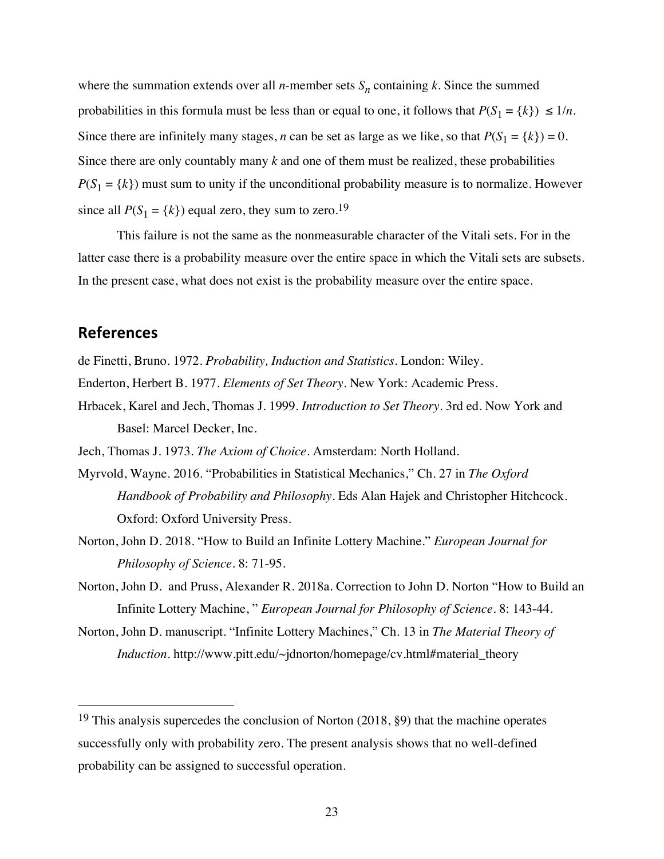where the summation extends over all *n*-member sets  $S_n$  containing *k*. Since the summed probabilities in this formula must be less than or equal to one, it follows that  $P(S_1 = \{k\}) \le 1/n$ . Since there are infinitely many stages, *n* can be set as large as we like, so that  $P(S_1 = \{k\}) = 0$ . Since there are only countably many *k* and one of them must be realized, these probabilities  $P(S_1 = \{k\})$  must sum to unity if the unconditional probability measure is to normalize. However since all  $P(S_1 = \{k\})$  equal zero, they sum to zero.<sup>19</sup>

This failure is not the same as the nonmeasurable character of the Vitali sets. For in the latter case there is a probability measure over the entire space in which the Vitali sets are subsets. In the present case, what does not exist is the probability measure over the entire space.

# **References**

- de Finetti, Bruno. 1972. *Probability, Induction and Statistics*. London: Wiley.
- Enderton, Herbert B. 1977. *Elements of Set Theory*. New York: Academic Press.
- Hrbacek, Karel and Jech, Thomas J. 1999. *Introduction to Set Theory*. 3rd ed. Now York and Basel: Marcel Decker, Inc.

Jech, Thomas J. 1973. *The Axiom of Choice*. Amsterdam: North Holland.

- Myrvold, Wayne. 2016. "Probabilities in Statistical Mechanics," Ch. 27 in *The Oxford Handbook of Probability and Philosophy*. Eds Alan Hajek and Christopher Hitchcock. Oxford: Oxford University Press.
- Norton, John D. 2018. "How to Build an Infinite Lottery Machine." *European Journal for Philosophy of Science*. 8: 71-95.
- Norton, John D. and Pruss, Alexander R. 2018a. Correction to John D. Norton "How to Build an Infinite Lottery Machine, " *European Journal for Philosophy of Science*. 8: 143-44.
- Norton, John D. manuscript. "Infinite Lottery Machines," Ch. 13 in *The Material Theory of Induction*. http://www.pitt.edu/~jdnorton/homepage/cv.html#material\_theory

 <sup>19</sup> This analysis supercedes the conclusion of Norton (2018, §9) that the machine operates successfully only with probability zero. The present analysis shows that no well-defined probability can be assigned to successful operation.